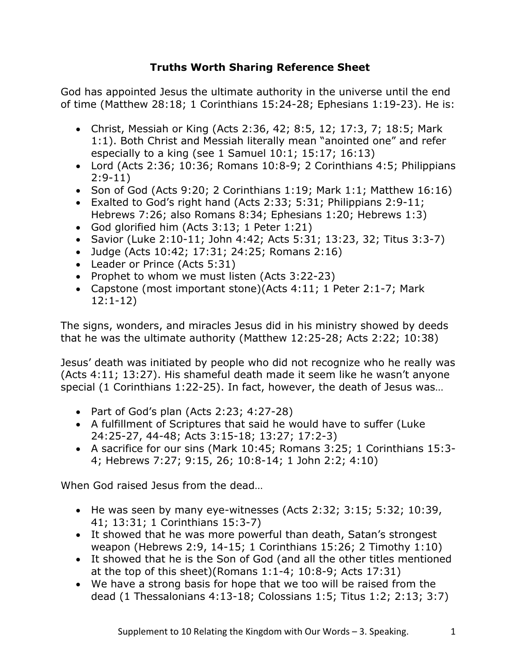## **Truths Worth Sharing Reference Sheet**

God has appointed Jesus the ultimate authority in the universe until the end of time (Matthew 28:18; 1 Corinthians 15:24-28; Ephesians 1:19-23). He is:

- Christ, Messiah or King (Acts 2:36, 42; 8:5, 12; 17:3, 7; 18:5; Mark 1:1). Both Christ and Messiah literally mean "anointed one" and refer especially to a king (see 1 Samuel 10:1; 15:17; 16:13)
- Lord (Acts 2:36; 10:36; Romans 10:8-9; 2 Corinthians 4:5; Philippians 2:9-11)
- Son of God (Acts 9:20; 2 Corinthians 1:19; Mark 1:1; Matthew 16:16)
- Exalted to God's right hand (Acts 2:33; 5:31; Philippians 2:9-11; Hebrews 7:26; also Romans 8:34; Ephesians 1:20; Hebrews 1:3)
- God glorified him (Acts 3:13; 1 Peter 1:21)
- Savior (Luke 2:10-11; John 4:42; Acts 5:31; 13:23, 32; Titus 3:3-7)
- Judge (Acts 10:42; 17:31; 24:25; Romans 2:16)
- Leader or Prince (Acts 5:31)
- Prophet to whom we must listen (Acts 3:22-23)
- Capstone (most important stone)(Acts 4:11; 1 Peter 2:1-7; Mark 12:1-12)

The signs, wonders, and miracles Jesus did in his ministry showed by deeds that he was the ultimate authority (Matthew 12:25-28; Acts 2:22; 10:38)

Jesus' death was initiated by people who did not recognize who he really was (Acts 4:11; 13:27). His shameful death made it seem like he wasn't anyone special (1 Corinthians 1:22-25). In fact, however, the death of Jesus was…

- Part of God's plan (Acts 2:23; 4:27-28)
- A fulfillment of Scriptures that said he would have to suffer (Luke 24:25-27, 44-48; Acts 3:15-18; 13:27; 17:2-3)
- A sacrifice for our sins (Mark 10:45; Romans 3:25; 1 Corinthians 15:3- 4; Hebrews 7:27; 9:15, 26; 10:8-14; 1 John 2:2; 4:10)

When God raised Jesus from the dead…

- He was seen by many eye-witnesses (Acts 2:32; 3:15; 5:32; 10:39, 41; 13:31; 1 Corinthians 15:3-7)
- It showed that he was more powerful than death, Satan's strongest weapon (Hebrews 2:9, 14-15; 1 Corinthians 15:26; 2 Timothy 1:10)
- It showed that he is the Son of God (and all the other titles mentioned at the top of this sheet)(Romans  $1:1-4$ ;  $10:8-9$ ; Acts  $17:31$ )
- We have a strong basis for hope that we too will be raised from the dead (1 Thessalonians 4:13-18; Colossians 1:5; Titus 1:2; 2:13; 3:7)